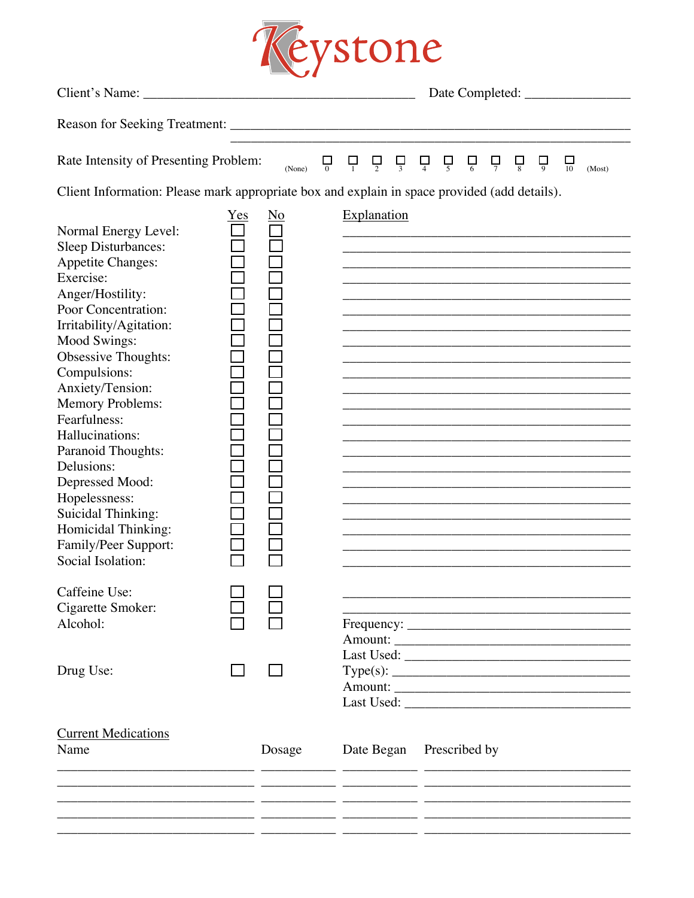

| Rate Intensity of Presenting Problem:                                                                                                                                                                                                                                                                                                                                                                                                                                               |     | (None) | $\Box$ |  | $\Box$                   | $\Box$ | $\Box$ | $\Box$ | $\Box$ | $\Box$ | $\Box$ |                                                                                           | 뮤 | (Most) |
|-------------------------------------------------------------------------------------------------------------------------------------------------------------------------------------------------------------------------------------------------------------------------------------------------------------------------------------------------------------------------------------------------------------------------------------------------------------------------------------|-----|--------|--------|--|--------------------------|--------|--------|--------|--------|--------|--------|-------------------------------------------------------------------------------------------|---|--------|
| Client Information: Please mark appropriate box and explain in space provided (add details).                                                                                                                                                                                                                                                                                                                                                                                        |     |        |        |  |                          |        |        |        |        |        |        |                                                                                           |   |        |
| Normal Energy Level:<br><b>Sleep Disturbances:</b><br><b>Appetite Changes:</b><br>Exercise:<br>Anger/Hostility:<br>Poor Concentration:<br>Irritability/Agitation:<br><b>Mood Swings:</b><br>Obsessive Thoughts:<br>Compulsions:<br>Anxiety/Tension:<br>Memory Problems:<br>Fearfulness:<br>Hallucinations:<br>Paranoid Thoughts:<br>Delusions:<br>Depressed Mood:<br>Hopelessness:<br><b>Suicidal Thinking:</b><br>Homicidal Thinking:<br>Family/Peer Support:<br>Social Isolation: | Yes | No     |        |  | <b>Explanation</b>       |        |        |        |        |        |        |                                                                                           |   |        |
| Caffeine Use:<br>Cigarette Smoker:<br>Alcohol:                                                                                                                                                                                                                                                                                                                                                                                                                                      |     |        |        |  |                          |        |        |        |        |        |        |                                                                                           |   |        |
| Drug Use:                                                                                                                                                                                                                                                                                                                                                                                                                                                                           |     |        |        |  |                          |        |        |        |        |        |        |                                                                                           |   |        |
| <b>Current Medications</b><br>Name                                                                                                                                                                                                                                                                                                                                                                                                                                                  |     | Dosage |        |  | Date Began Prescribed by |        |        |        |        |        |        |                                                                                           |   |        |
|                                                                                                                                                                                                                                                                                                                                                                                                                                                                                     |     |        |        |  |                          |        |        |        |        |        |        | the control of the control of the control of the control of the control of the control of |   |        |